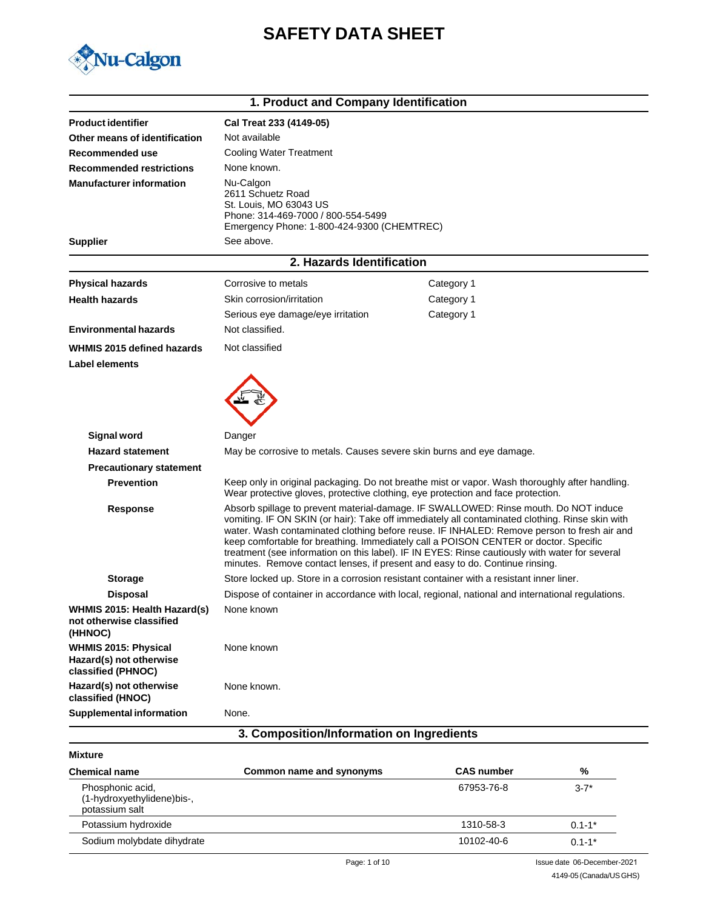# **SAFETY DATA SHEET**



| 1. Product and Company Identification                                        |                                                                                                                                                                                                                                                                                                                                                                                                                                                                                                                                                                 |                                                                                                                                                                                    |  |
|------------------------------------------------------------------------------|-----------------------------------------------------------------------------------------------------------------------------------------------------------------------------------------------------------------------------------------------------------------------------------------------------------------------------------------------------------------------------------------------------------------------------------------------------------------------------------------------------------------------------------------------------------------|------------------------------------------------------------------------------------------------------------------------------------------------------------------------------------|--|
| <b>Product identifier</b>                                                    | Cal Treat 233 (4149-05)                                                                                                                                                                                                                                                                                                                                                                                                                                                                                                                                         |                                                                                                                                                                                    |  |
| Other means of identification                                                | Not available                                                                                                                                                                                                                                                                                                                                                                                                                                                                                                                                                   |                                                                                                                                                                                    |  |
| Recommended use                                                              | <b>Cooling Water Treatment</b>                                                                                                                                                                                                                                                                                                                                                                                                                                                                                                                                  |                                                                                                                                                                                    |  |
| <b>Recommended restrictions</b>                                              | None known.                                                                                                                                                                                                                                                                                                                                                                                                                                                                                                                                                     |                                                                                                                                                                                    |  |
| <b>Manufacturer information</b>                                              | Nu-Calgon<br>2611 Schuetz Road<br>St. Louis, MO 63043 US<br>Phone: 314-469-7000 / 800-554-5499<br>Emergency Phone: 1-800-424-9300 (CHEMTREC)                                                                                                                                                                                                                                                                                                                                                                                                                    |                                                                                                                                                                                    |  |
| <b>Supplier</b>                                                              | See above.                                                                                                                                                                                                                                                                                                                                                                                                                                                                                                                                                      |                                                                                                                                                                                    |  |
|                                                                              | 2. Hazards Identification                                                                                                                                                                                                                                                                                                                                                                                                                                                                                                                                       |                                                                                                                                                                                    |  |
| <b>Physical hazards</b>                                                      | Corrosive to metals                                                                                                                                                                                                                                                                                                                                                                                                                                                                                                                                             | Category 1                                                                                                                                                                         |  |
| <b>Health hazards</b>                                                        | Skin corrosion/irritation                                                                                                                                                                                                                                                                                                                                                                                                                                                                                                                                       | Category 1                                                                                                                                                                         |  |
|                                                                              | Serious eye damage/eye irritation                                                                                                                                                                                                                                                                                                                                                                                                                                                                                                                               | Category 1                                                                                                                                                                         |  |
| <b>Environmental hazards</b>                                                 | Not classified.                                                                                                                                                                                                                                                                                                                                                                                                                                                                                                                                                 |                                                                                                                                                                                    |  |
| WHMIS 2015 defined hazards<br>Label elements                                 | Not classified                                                                                                                                                                                                                                                                                                                                                                                                                                                                                                                                                  |                                                                                                                                                                                    |  |
|                                                                              |                                                                                                                                                                                                                                                                                                                                                                                                                                                                                                                                                                 |                                                                                                                                                                                    |  |
| <b>Signal word</b>                                                           | Danger                                                                                                                                                                                                                                                                                                                                                                                                                                                                                                                                                          |                                                                                                                                                                                    |  |
| <b>Hazard statement</b>                                                      | May be corrosive to metals. Causes severe skin burns and eye damage.                                                                                                                                                                                                                                                                                                                                                                                                                                                                                            |                                                                                                                                                                                    |  |
| <b>Precautionary statement</b>                                               |                                                                                                                                                                                                                                                                                                                                                                                                                                                                                                                                                                 |                                                                                                                                                                                    |  |
| <b>Prevention</b>                                                            |                                                                                                                                                                                                                                                                                                                                                                                                                                                                                                                                                                 | Keep only in original packaging. Do not breathe mist or vapor. Wash thoroughly after handling.<br>Wear protective gloves, protective clothing, eye protection and face protection. |  |
| Response                                                                     | Absorb spillage to prevent material-damage. IF SWALLOWED: Rinse mouth. Do NOT induce<br>vomiting. IF ON SKIN (or hair): Take off immediately all contaminated clothing. Rinse skin with<br>water. Wash contaminated clothing before reuse. IF INHALED: Remove person to fresh air and<br>keep comfortable for breathing. Immediately call a POISON CENTER or doctor. Specific<br>treatment (see information on this label). IF IN EYES: Rinse cautiously with water for several<br>minutes. Remove contact lenses, if present and easy to do. Continue rinsing. |                                                                                                                                                                                    |  |
| <b>Storage</b>                                                               |                                                                                                                                                                                                                                                                                                                                                                                                                                                                                                                                                                 | Store locked up. Store in a corrosion resistant container with a resistant inner liner.                                                                                            |  |
| <b>Disposal</b>                                                              |                                                                                                                                                                                                                                                                                                                                                                                                                                                                                                                                                                 | Dispose of container in accordance with local, regional, national and international regulations.                                                                                   |  |
| WHMIS 2015: Health Hazard(s)<br>not otherwise classified<br>(HHNOC)          | None known                                                                                                                                                                                                                                                                                                                                                                                                                                                                                                                                                      |                                                                                                                                                                                    |  |
| <b>WHMIS 2015: Physical</b><br>Hazard(s) not otherwise<br>classified (PHNOC) | None known                                                                                                                                                                                                                                                                                                                                                                                                                                                                                                                                                      |                                                                                                                                                                                    |  |
| Hazard(s) not otherwise<br>classified (HNOC)                                 | None known.                                                                                                                                                                                                                                                                                                                                                                                                                                                                                                                                                     |                                                                                                                                                                                    |  |
| <b>Supplemental information</b>                                              | None.                                                                                                                                                                                                                                                                                                                                                                                                                                                                                                                                                           |                                                                                                                                                                                    |  |
| 3. Composition/Information on Ingredients                                    |                                                                                                                                                                                                                                                                                                                                                                                                                                                                                                                                                                 |                                                                                                                                                                                    |  |

| <b>Mixture</b>                                                   |                          |                   |             |  |
|------------------------------------------------------------------|--------------------------|-------------------|-------------|--|
| <b>Chemical name</b>                                             | Common name and synonyms | <b>CAS number</b> | %           |  |
| Phosphonic acid,<br>(1-hydroxyethylidene)bis-,<br>potassium salt |                          | 67953-76-8        | $3 - 7*$    |  |
| Potassium hydroxide                                              |                          | 1310-58-3         | $0.1 - 1^*$ |  |
| Sodium molybdate dihydrate                                       |                          | 10102-40-6        | $0.1 - 1*$  |  |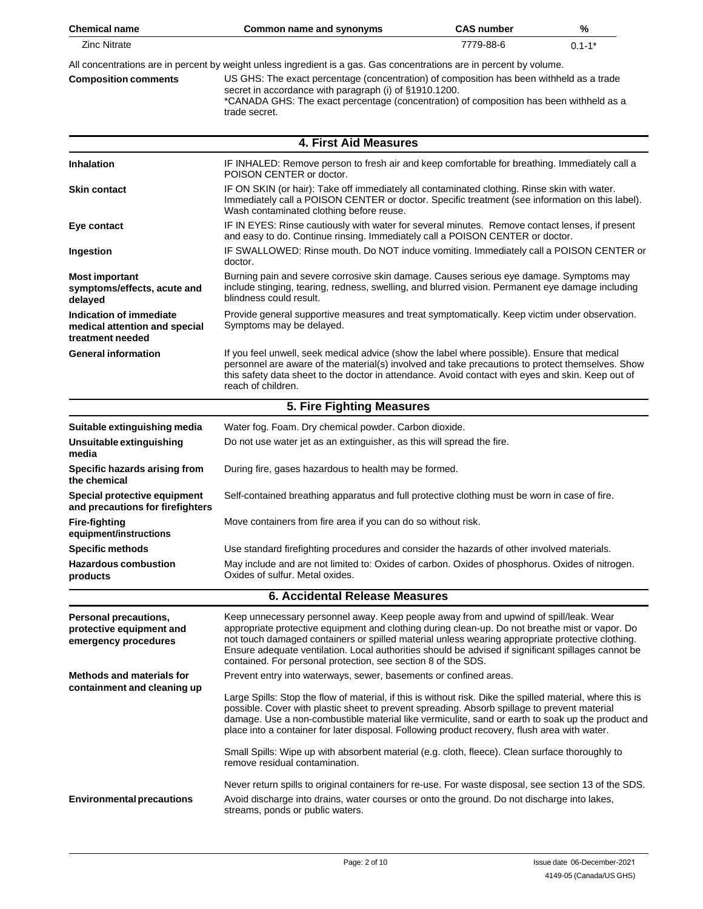| <b>Chemical name</b>                                                         | Common name and synonyms                                                                                                                                                                                                                                                                                                                                                                                                                                             | <b>CAS number</b> | %          |
|------------------------------------------------------------------------------|----------------------------------------------------------------------------------------------------------------------------------------------------------------------------------------------------------------------------------------------------------------------------------------------------------------------------------------------------------------------------------------------------------------------------------------------------------------------|-------------------|------------|
| <b>Zinc Nitrate</b>                                                          |                                                                                                                                                                                                                                                                                                                                                                                                                                                                      | 7779-88-6         | $0.1 - 1*$ |
| <b>Composition comments</b>                                                  | All concentrations are in percent by weight unless ingredient is a gas. Gas concentrations are in percent by volume.<br>US GHS: The exact percentage (concentration) of composition has been withheld as a trade<br>secret in accordance with paragraph (i) of §1910.1200.<br>*CANADA GHS: The exact percentage (concentration) of composition has been withheld as a<br>trade secret.                                                                               |                   |            |
|                                                                              | <b>4. First Aid Measures</b>                                                                                                                                                                                                                                                                                                                                                                                                                                         |                   |            |
| <b>Inhalation</b>                                                            | IF INHALED: Remove person to fresh air and keep comfortable for breathing. Immediately call a<br>POISON CENTER or doctor.                                                                                                                                                                                                                                                                                                                                            |                   |            |
| <b>Skin contact</b>                                                          | IF ON SKIN (or hair): Take off immediately all contaminated clothing. Rinse skin with water.<br>Immediately call a POISON CENTER or doctor. Specific treatment (see information on this label).<br>Wash contaminated clothing before reuse.                                                                                                                                                                                                                          |                   |            |
| Eye contact                                                                  | IF IN EYES: Rinse cautiously with water for several minutes. Remove contact lenses, if present<br>and easy to do. Continue rinsing. Immediately call a POISON CENTER or doctor.                                                                                                                                                                                                                                                                                      |                   |            |
| Ingestion                                                                    | IF SWALLOWED: Rinse mouth. Do NOT induce vomiting. Immediately call a POISON CENTER or<br>doctor.                                                                                                                                                                                                                                                                                                                                                                    |                   |            |
| <b>Most important</b><br>symptoms/effects, acute and<br>delayed              | Burning pain and severe corrosive skin damage. Causes serious eye damage. Symptoms may<br>include stinging, tearing, redness, swelling, and blurred vision. Permanent eye damage including<br>blindness could result.                                                                                                                                                                                                                                                |                   |            |
| Indication of immediate<br>medical attention and special<br>treatment needed | Provide general supportive measures and treat symptomatically. Keep victim under observation.<br>Symptoms may be delayed.                                                                                                                                                                                                                                                                                                                                            |                   |            |
| <b>General information</b>                                                   | If you feel unwell, seek medical advice (show the label where possible). Ensure that medical<br>personnel are aware of the material(s) involved and take precautions to protect themselves. Show<br>this safety data sheet to the doctor in attendance. Avoid contact with eyes and skin. Keep out of<br>reach of children.                                                                                                                                          |                   |            |
|                                                                              | 5. Fire Fighting Measures                                                                                                                                                                                                                                                                                                                                                                                                                                            |                   |            |
| Suitable extinguishing media                                                 | Water fog. Foam. Dry chemical powder. Carbon dioxide.                                                                                                                                                                                                                                                                                                                                                                                                                |                   |            |
| Unsuitable extinguishing<br>media                                            | Do not use water jet as an extinguisher, as this will spread the fire.                                                                                                                                                                                                                                                                                                                                                                                               |                   |            |
| Specific hazards arising from<br>the chemical                                | During fire, gases hazardous to health may be formed.                                                                                                                                                                                                                                                                                                                                                                                                                |                   |            |
| Special protective equipment<br>and precautions for firefighters             | Self-contained breathing apparatus and full protective clothing must be worn in case of fire.                                                                                                                                                                                                                                                                                                                                                                        |                   |            |
| <b>Fire-fighting</b><br>equipment/instructions                               | Move containers from fire area if you can do so without risk.                                                                                                                                                                                                                                                                                                                                                                                                        |                   |            |
| <b>Specific methods</b>                                                      | Use standard firefighting procedures and consider the hazards of other involved materials.                                                                                                                                                                                                                                                                                                                                                                           |                   |            |
| <b>Hazardous combustion</b><br>products                                      | May include and are not limited to: Oxides of carbon. Oxides of phosphorus. Oxides of nitrogen.<br>Oxides of sulfur. Metal oxides.                                                                                                                                                                                                                                                                                                                                   |                   |            |
| <b>6. Accidental Release Measures</b>                                        |                                                                                                                                                                                                                                                                                                                                                                                                                                                                      |                   |            |
| Personal precautions,<br>protective equipment and<br>emergency procedures    | Keep unnecessary personnel away. Keep people away from and upwind of spill/leak. Wear<br>appropriate protective equipment and clothing during clean-up. Do not breathe mist or vapor. Do<br>not touch damaged containers or spilled material unless wearing appropriate protective clothing.<br>Ensure adequate ventilation. Local authorities should be advised if significant spillages cannot be<br>contained. For personal protection, see section 8 of the SDS. |                   |            |
| <b>Methods and materials for</b>                                             | Prevent entry into waterways, sewer, basements or confined areas.                                                                                                                                                                                                                                                                                                                                                                                                    |                   |            |
| containment and cleaning up                                                  | Large Spills: Stop the flow of material, if this is without risk. Dike the spilled material, where this is<br>possible. Cover with plastic sheet to prevent spreading. Absorb spillage to prevent material<br>damage. Use a non-combustible material like vermiculite, sand or earth to soak up the product and<br>place into a container for later disposal. Following product recovery, flush area with water.                                                     |                   |            |
|                                                                              | Small Spills: Wipe up with absorbent material (e.g. cloth, fleece). Clean surface thoroughly to<br>remove residual contamination.                                                                                                                                                                                                                                                                                                                                    |                   |            |
| <b>Environmental precautions</b>                                             | Never return spills to original containers for re-use. For waste disposal, see section 13 of the SDS.<br>Avoid discharge into drains, water courses or onto the ground. Do not discharge into lakes,<br>streams, ponds or public waters.                                                                                                                                                                                                                             |                   |            |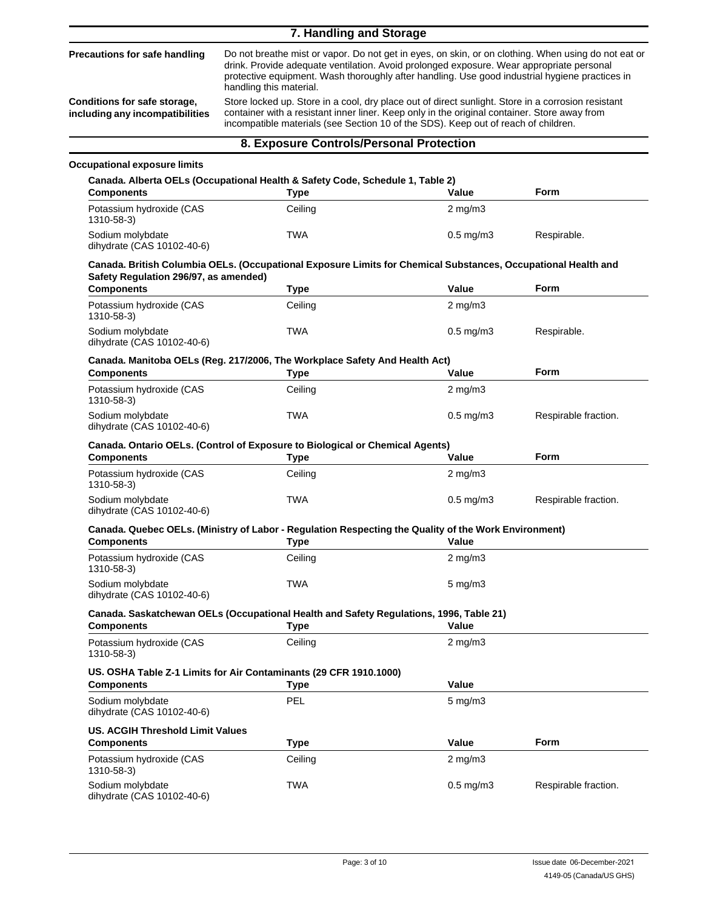|                                                                 | 7. Handling and Storage                                                                                                                                                                                                                                                                                                                      |                      |                      |  |
|-----------------------------------------------------------------|----------------------------------------------------------------------------------------------------------------------------------------------------------------------------------------------------------------------------------------------------------------------------------------------------------------------------------------------|----------------------|----------------------|--|
| <b>Precautions for safe handling</b>                            | Do not breathe mist or vapor. Do not get in eyes, on skin, or on clothing. When using do not eat or<br>drink. Provide adequate ventilation. Avoid prolonged exposure. Wear appropriate personal<br>protective equipment. Wash thoroughly after handling. Use good industrial hygiene practices in<br>handling this material.                 |                      |                      |  |
| Conditions for safe storage,<br>including any incompatibilities | Store locked up. Store in a cool, dry place out of direct sunlight. Store in a corrosion resistant<br>container with a resistant inner liner. Keep only in the original container. Store away from<br>incompatible materials (see Section 10 of the SDS). Keep out of reach of children.                                                     |                      |                      |  |
|                                                                 | 8. Exposure Controls/Personal Protection                                                                                                                                                                                                                                                                                                     |                      |                      |  |
| <b>Occupational exposure limits</b>                             |                                                                                                                                                                                                                                                                                                                                              |                      |                      |  |
|                                                                 | Canada. Alberta OELs (Occupational Health & Safety Code, Schedule 1, Table 2)                                                                                                                                                                                                                                                                |                      |                      |  |
| <b>Components</b>                                               | <b>Type</b>                                                                                                                                                                                                                                                                                                                                  | Value                | <b>Form</b>          |  |
| Potassium hydroxide (CAS<br>1310-58-3)                          | Ceiling                                                                                                                                                                                                                                                                                                                                      | $2 \text{ mg/m}$     |                      |  |
| Sodium molybdate<br>dihydrate (CAS 10102-40-6)                  | <b>TWA</b>                                                                                                                                                                                                                                                                                                                                   | $0.5 \text{ mg/m}$ 3 | Respirable.          |  |
| Safety Regulation 296/97, as amended)                           | Canada. British Columbia OELs. (Occupational Exposure Limits for Chemical Substances, Occupational Health and                                                                                                                                                                                                                                |                      |                      |  |
| <b>Components</b>                                               | <b>Type</b>                                                                                                                                                                                                                                                                                                                                  | Value                | <b>Form</b>          |  |
| Potassium hydroxide (CAS<br>1310-58-3)                          | Ceiling                                                                                                                                                                                                                                                                                                                                      | $2 \text{ mg/m}$     |                      |  |
| Sodium molybdate<br>dihydrate (CAS 10102-40-6)                  | TWA                                                                                                                                                                                                                                                                                                                                          | $0.5$ mg/m $3$       | Respirable.          |  |
| <b>Components</b>                                               | Canada. Manitoba OELs (Reg. 217/2006, The Workplace Safety And Health Act)<br><b>Type</b>                                                                                                                                                                                                                                                    | Value                | <b>Form</b>          |  |
| Potassium hydroxide (CAS<br>1310-58-3)                          | Ceiling                                                                                                                                                                                                                                                                                                                                      | $2$ mg/m $3$         |                      |  |
| Sodium molybdate<br>dihydrate (CAS 10102-40-6)                  | TWA                                                                                                                                                                                                                                                                                                                                          | $0.5 \text{ mg/m}$ 3 | Respirable fraction. |  |
|                                                                 | <b>Canada. Ontario OELs. (Control of Exposure to Biological or Chemical Agents)</b>                                                                                                                                                                                                                                                          |                      |                      |  |
| <b>Components</b>                                               | <b>Type</b>                                                                                                                                                                                                                                                                                                                                  | Value                | <b>Form</b>          |  |
| Potassium hydroxide (CAS<br>1310-58-3)                          | Ceiling                                                                                                                                                                                                                                                                                                                                      | $2 \text{ mg/m}$     |                      |  |
| Sodium molybdate<br>dihydrate (CAS 10102-40-6)                  | TWA                                                                                                                                                                                                                                                                                                                                          | $0.5$ mg/m $3$       | Respirable fraction. |  |
| <b>Components</b>                                               | Canada. Quebec OELs. (Ministry of Labor - Regulation Respecting the Quality of the Work Environment)<br><b>Type Contract Contract Contract Contract Contract Contract Contract Contract Contract Contract Contract Contract Contract Contract Contract Contract Contract Contract Contract Contract Contract Contract Contract Contract </b> |                      |                      |  |
| Potassium hydroxide (CAS<br>1310-58-3)                          | Ceiling                                                                                                                                                                                                                                                                                                                                      | $2 \text{ mg/m}$     |                      |  |
| Sodium molybdate<br>dihydrate (CAS 10102-40-6)                  | <b>TWA</b>                                                                                                                                                                                                                                                                                                                                   | $5$ mg/m $3$         |                      |  |
| <b>Components</b>                                               | Canada. Saskatchewan OELs (Occupational Health and Safety Regulations, 1996, Table 21)<br><b>Type</b>                                                                                                                                                                                                                                        | Value                |                      |  |
| Potassium hydroxide (CAS<br>1310-58-3)                          | Ceiling                                                                                                                                                                                                                                                                                                                                      | $2$ mg/m $3$         |                      |  |
| <b>Components</b>                                               | US. OSHA Table Z-1 Limits for Air Contaminants (29 CFR 1910.1000)<br><b>Type</b>                                                                                                                                                                                                                                                             | Value                |                      |  |
| Sodium molybdate<br>dihydrate (CAS 10102-40-6)                  | <b>PEL</b>                                                                                                                                                                                                                                                                                                                                   | $5 \text{ mg/m}$ 3   |                      |  |
| <b>US. ACGIH Threshold Limit Values</b>                         |                                                                                                                                                                                                                                                                                                                                              | Value                | <b>Form</b>          |  |
| <b>Components</b><br>Potassium hydroxide (CAS                   | <b>Type</b><br>Ceiling                                                                                                                                                                                                                                                                                                                       | $2$ mg/m $3$         |                      |  |
| 1310-58-3)<br>Sodium molybdate<br>dihydrate (CAS 10102-40-6)    | TWA                                                                                                                                                                                                                                                                                                                                          | $0.5$ mg/m $3$       | Respirable fraction. |  |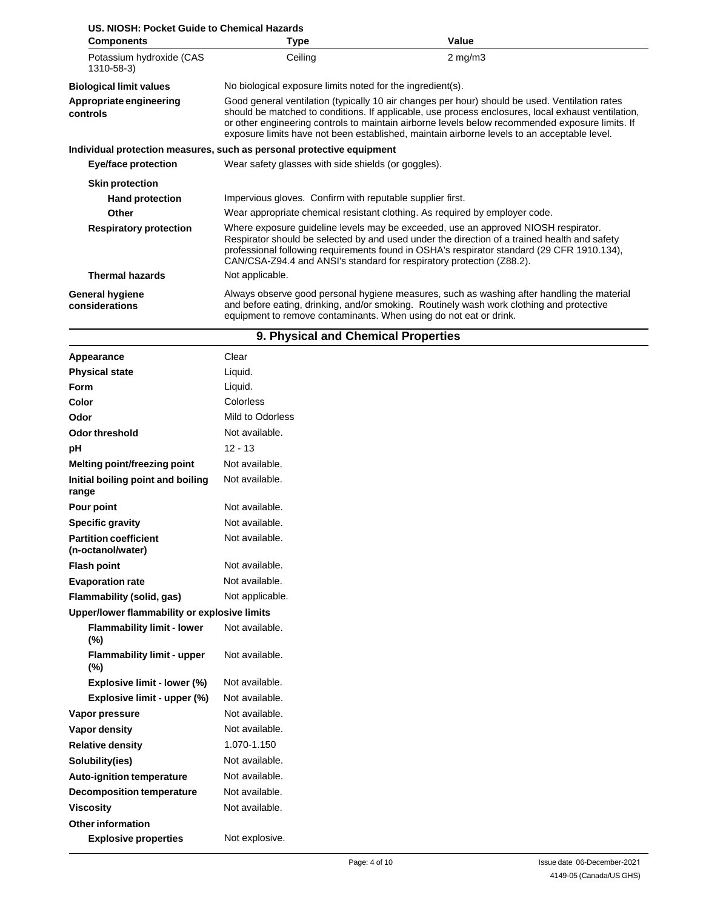| <b>Components</b>                        | Type                                                                                                                                                                                                                                                                                                                                                                                                   | Value                                                                                                                                                                                  |  |
|------------------------------------------|--------------------------------------------------------------------------------------------------------------------------------------------------------------------------------------------------------------------------------------------------------------------------------------------------------------------------------------------------------------------------------------------------------|----------------------------------------------------------------------------------------------------------------------------------------------------------------------------------------|--|
| Potassium hydroxide (CAS<br>1310-58-3)   | Ceiling                                                                                                                                                                                                                                                                                                                                                                                                | $2 \text{ mg/m}$                                                                                                                                                                       |  |
| <b>Biological limit values</b>           | No biological exposure limits noted for the ingredient(s).                                                                                                                                                                                                                                                                                                                                             |                                                                                                                                                                                        |  |
| Appropriate engineering<br>controls      | Good general ventilation (typically 10 air changes per hour) should be used. Ventilation rates<br>should be matched to conditions. If applicable, use process enclosures, local exhaust ventilation,<br>or other engineering controls to maintain airborne levels below recommended exposure limits. If<br>exposure limits have not been established, maintain airborne levels to an acceptable level. |                                                                                                                                                                                        |  |
|                                          | Individual protection measures, such as personal protective equipment                                                                                                                                                                                                                                                                                                                                  |                                                                                                                                                                                        |  |
| Eye/face protection                      | Wear safety glasses with side shields (or goggles).                                                                                                                                                                                                                                                                                                                                                    |                                                                                                                                                                                        |  |
| <b>Skin protection</b>                   |                                                                                                                                                                                                                                                                                                                                                                                                        |                                                                                                                                                                                        |  |
| <b>Hand protection</b>                   | Impervious gloves. Confirm with reputable supplier first.                                                                                                                                                                                                                                                                                                                                              |                                                                                                                                                                                        |  |
| Other                                    | Wear appropriate chemical resistant clothing. As required by employer code.                                                                                                                                                                                                                                                                                                                            |                                                                                                                                                                                        |  |
| <b>Respiratory protection</b>            | Where exposure guideline levels may be exceeded, use an approved NIOSH respirator.<br>Respirator should be selected by and used under the direction of a trained health and safety<br>professional following requirements found in OSHA's respirator standard (29 CFR 1910.134),<br>CAN/CSA-Z94.4 and ANSI's standard for respiratory protection (Z88.2).                                              |                                                                                                                                                                                        |  |
| <b>Thermal hazards</b>                   | Not applicable.                                                                                                                                                                                                                                                                                                                                                                                        |                                                                                                                                                                                        |  |
| <b>General hygiene</b><br>considerations | equipment to remove contaminants. When using do not eat or drink.                                                                                                                                                                                                                                                                                                                                      | Always observe good personal hygiene measures, such as washing after handling the material<br>and before eating, drinking, and/or smoking. Routinely wash work clothing and protective |  |

## **9. Physical and Chemical Properties**

| Appearance                                        | Clear            |
|---------------------------------------------------|------------------|
| <b>Physical state</b>                             | Liquid.          |
| <b>Form</b>                                       | Liquid.          |
| Color                                             | Colorless        |
| Odor                                              | Mild to Odorless |
| <b>Odor threshold</b>                             | Not available.   |
| pH                                                | $12 - 13$        |
| Melting point/freezing point                      | Not available.   |
| Initial boiling point and boiling<br>range        | Not available.   |
| Pour point                                        | Not available.   |
| <b>Specific gravity</b>                           | Not available.   |
| <b>Partition coefficient</b><br>(n-octanol/water) | Not available.   |
| <b>Flash point</b>                                | Not available.   |
| <b>Evaporation rate</b>                           | Not available.   |
| Flammability (solid, gas)                         | Not applicable.  |
| Upper/lower flammability or explosive limits      |                  |
| <b>Flammability limit - lower</b><br>(%)          | Not available.   |
| <b>Flammability limit - upper</b><br>(%)          | Not available.   |
| Explosive limit - lower (%)                       | Not available.   |
| Explosive limit - upper (%)                       | Not available.   |
| Vapor pressure                                    | Not available.   |
| Vapor density                                     | Not available.   |
| <b>Relative density</b>                           | 1.070-1.150      |
| Solubility(ies)                                   | Not available.   |
| Auto-ignition temperature                         | Not available.   |
| <b>Decomposition temperature</b>                  | Not available.   |
| <b>Viscosity</b>                                  | Not available.   |
| <b>Other information</b>                          |                  |
| <b>Explosive properties</b>                       | Not explosive.   |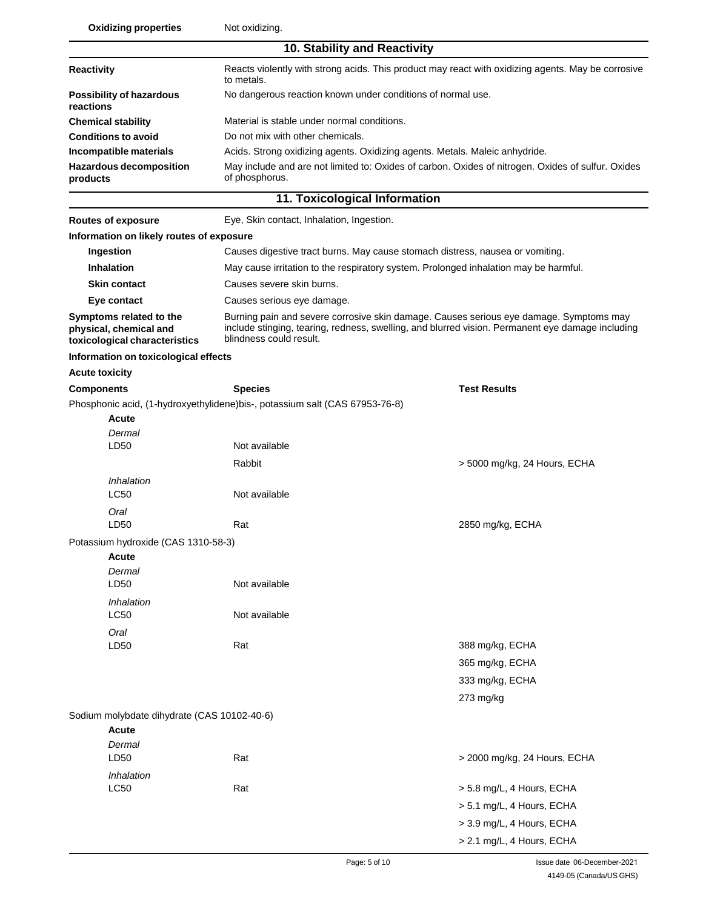**Oxidizing properties** Not oxidizing.

| Oxidizing properties                                                               | INUL UXIUIZIHY.                                                                                                                                                                                                       |                                                                                                    |  |  |
|------------------------------------------------------------------------------------|-----------------------------------------------------------------------------------------------------------------------------------------------------------------------------------------------------------------------|----------------------------------------------------------------------------------------------------|--|--|
|                                                                                    | 10. Stability and Reactivity                                                                                                                                                                                          |                                                                                                    |  |  |
| Reactivity                                                                         | to metals.                                                                                                                                                                                                            | Reacts violently with strong acids. This product may react with oxidizing agents. May be corrosive |  |  |
| <b>Possibility of hazardous</b><br>reactions                                       | No dangerous reaction known under conditions of normal use.                                                                                                                                                           |                                                                                                    |  |  |
| <b>Chemical stability</b>                                                          | Material is stable under normal conditions.                                                                                                                                                                           |                                                                                                    |  |  |
| <b>Conditions to avoid</b>                                                         | Do not mix with other chemicals.                                                                                                                                                                                      |                                                                                                    |  |  |
| Incompatible materials                                                             | Acids. Strong oxidizing agents. Oxidizing agents. Metals. Maleic anhydride.                                                                                                                                           |                                                                                                    |  |  |
| <b>Hazardous decomposition</b><br>products                                         | of phosphorus.                                                                                                                                                                                                        | May include and are not limited to: Oxides of carbon. Oxides of nitrogen. Oxides of sulfur. Oxides |  |  |
|                                                                                    | 11. Toxicological Information                                                                                                                                                                                         |                                                                                                    |  |  |
| <b>Routes of exposure</b>                                                          | Eye, Skin contact, Inhalation, Ingestion.                                                                                                                                                                             |                                                                                                    |  |  |
| Information on likely routes of exposure                                           |                                                                                                                                                                                                                       |                                                                                                    |  |  |
| Ingestion                                                                          | Causes digestive tract burns. May cause stomach distress, nausea or vomiting.                                                                                                                                         |                                                                                                    |  |  |
| <b>Inhalation</b>                                                                  | May cause irritation to the respiratory system. Prolonged inhalation may be harmful.                                                                                                                                  |                                                                                                    |  |  |
| <b>Skin contact</b>                                                                | Causes severe skin burns.                                                                                                                                                                                             |                                                                                                    |  |  |
| Eye contact                                                                        | Causes serious eye damage.                                                                                                                                                                                            |                                                                                                    |  |  |
| Symptoms related to the<br>physical, chemical and<br>toxicological characteristics | Burning pain and severe corrosive skin damage. Causes serious eye damage. Symptoms may<br>include stinging, tearing, redness, swelling, and blurred vision. Permanent eye damage including<br>blindness could result. |                                                                                                    |  |  |
| Information on toxicological effects                                               |                                                                                                                                                                                                                       |                                                                                                    |  |  |
| <b>Acute toxicity</b>                                                              |                                                                                                                                                                                                                       |                                                                                                    |  |  |
| <b>Components</b>                                                                  | <b>Species</b>                                                                                                                                                                                                        | <b>Test Results</b>                                                                                |  |  |
|                                                                                    | Phosphonic acid, (1-hydroxyethylidene) bis-, potassium salt (CAS 67953-76-8)                                                                                                                                          |                                                                                                    |  |  |
| Acute                                                                              |                                                                                                                                                                                                                       |                                                                                                    |  |  |
| Dermal                                                                             |                                                                                                                                                                                                                       |                                                                                                    |  |  |
| LD50                                                                               | Not available                                                                                                                                                                                                         |                                                                                                    |  |  |
|                                                                                    | Rabbit                                                                                                                                                                                                                | > 5000 mg/kg, 24 Hours, ECHA                                                                       |  |  |
| Inhalation                                                                         |                                                                                                                                                                                                                       |                                                                                                    |  |  |
| <b>LC50</b>                                                                        | Not available                                                                                                                                                                                                         |                                                                                                    |  |  |
| Oral                                                                               |                                                                                                                                                                                                                       |                                                                                                    |  |  |
| LD50                                                                               | Rat                                                                                                                                                                                                                   | 2850 mg/kg, ECHA                                                                                   |  |  |
| Potassium hydroxide (CAS 1310-58-3)                                                |                                                                                                                                                                                                                       |                                                                                                    |  |  |
| Acute                                                                              |                                                                                                                                                                                                                       |                                                                                                    |  |  |
| Dermal<br>LD50                                                                     | Not available                                                                                                                                                                                                         |                                                                                                    |  |  |
|                                                                                    |                                                                                                                                                                                                                       |                                                                                                    |  |  |
| Inhalation<br>LC50                                                                 | Not available                                                                                                                                                                                                         |                                                                                                    |  |  |
| Oral                                                                               |                                                                                                                                                                                                                       |                                                                                                    |  |  |
| LD50                                                                               | Rat                                                                                                                                                                                                                   | 388 mg/kg, ECHA                                                                                    |  |  |
|                                                                                    |                                                                                                                                                                                                                       | 365 mg/kg, ECHA                                                                                    |  |  |
|                                                                                    |                                                                                                                                                                                                                       | 333 mg/kg, ECHA                                                                                    |  |  |
|                                                                                    |                                                                                                                                                                                                                       | 273 mg/kg                                                                                          |  |  |
| Sodium molybdate dihydrate (CAS 10102-40-6)                                        |                                                                                                                                                                                                                       |                                                                                                    |  |  |
| <b>Acute</b>                                                                       |                                                                                                                                                                                                                       |                                                                                                    |  |  |
| Dermal                                                                             |                                                                                                                                                                                                                       |                                                                                                    |  |  |
| LD50                                                                               | Rat                                                                                                                                                                                                                   | > 2000 mg/kg, 24 Hours, ECHA                                                                       |  |  |
| Inhalation                                                                         |                                                                                                                                                                                                                       |                                                                                                    |  |  |
| <b>LC50</b>                                                                        | Rat                                                                                                                                                                                                                   | > 5.8 mg/L, 4 Hours, ECHA                                                                          |  |  |
|                                                                                    |                                                                                                                                                                                                                       | > 5.1 mg/L, 4 Hours, ECHA                                                                          |  |  |
|                                                                                    |                                                                                                                                                                                                                       | > 3.9 mg/L, 4 Hours, ECHA                                                                          |  |  |
|                                                                                    |                                                                                                                                                                                                                       | > 2.1 mg/L, 4 Hours, ECHA                                                                          |  |  |
|                                                                                    |                                                                                                                                                                                                                       |                                                                                                    |  |  |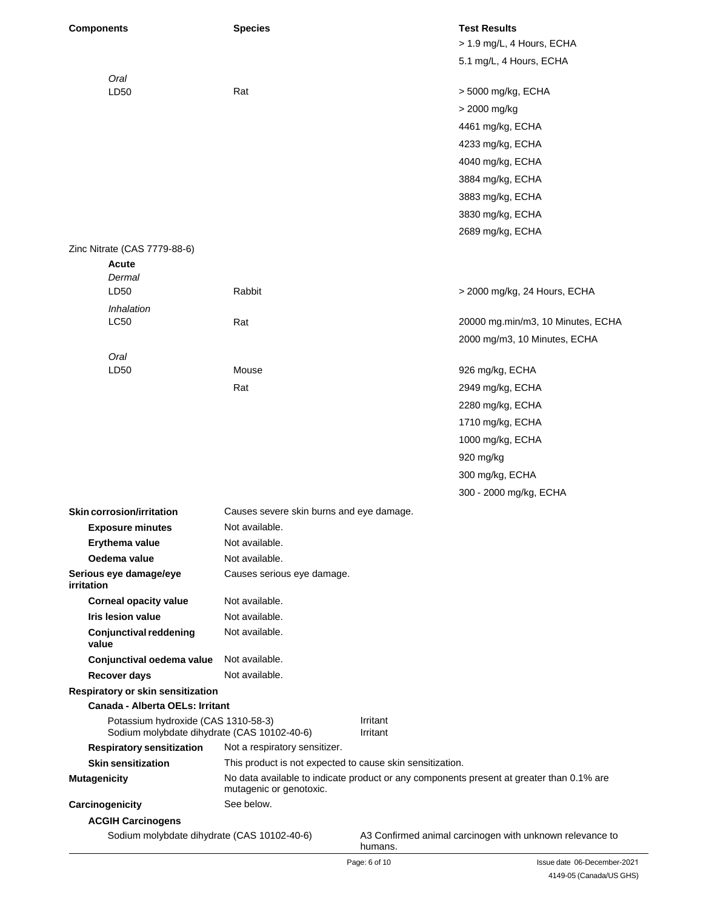| <b>Components</b>                                                                  | <b>Species</b>                                            | <b>Test Results</b>                                                                      |
|------------------------------------------------------------------------------------|-----------------------------------------------------------|------------------------------------------------------------------------------------------|
|                                                                                    |                                                           | > 1.9 mg/L, 4 Hours, ECHA                                                                |
|                                                                                    |                                                           | 5.1 mg/L, 4 Hours, ECHA                                                                  |
| Oral                                                                               |                                                           |                                                                                          |
| LD50                                                                               | Rat                                                       | > 5000 mg/kg, ECHA                                                                       |
|                                                                                    |                                                           | > 2000 mg/kg                                                                             |
|                                                                                    |                                                           | 4461 mg/kg, ECHA                                                                         |
|                                                                                    |                                                           | 4233 mg/kg, ECHA                                                                         |
|                                                                                    |                                                           | 4040 mg/kg, ECHA                                                                         |
|                                                                                    |                                                           | 3884 mg/kg, ECHA                                                                         |
|                                                                                    |                                                           | 3883 mg/kg, ECHA                                                                         |
|                                                                                    |                                                           | 3830 mg/kg, ECHA                                                                         |
|                                                                                    |                                                           | 2689 mg/kg, ECHA                                                                         |
| Zinc Nitrate (CAS 7779-88-6)                                                       |                                                           |                                                                                          |
| Acute                                                                              |                                                           |                                                                                          |
| Dermal                                                                             |                                                           |                                                                                          |
| LD50                                                                               | Rabbit                                                    | > 2000 mg/kg, 24 Hours, ECHA                                                             |
| Inhalation                                                                         |                                                           |                                                                                          |
| <b>LC50</b>                                                                        | Rat                                                       | 20000 mg.min/m3, 10 Minutes, ECHA                                                        |
|                                                                                    |                                                           | 2000 mg/m3, 10 Minutes, ECHA                                                             |
| Oral                                                                               |                                                           |                                                                                          |
| LD50                                                                               | Mouse                                                     | 926 mg/kg, ECHA                                                                          |
|                                                                                    | Rat                                                       | 2949 mg/kg, ECHA                                                                         |
|                                                                                    |                                                           | 2280 mg/kg, ECHA                                                                         |
|                                                                                    |                                                           | 1710 mg/kg, ECHA                                                                         |
|                                                                                    |                                                           | 1000 mg/kg, ECHA                                                                         |
|                                                                                    |                                                           | 920 mg/kg                                                                                |
|                                                                                    |                                                           | 300 mg/kg, ECHA                                                                          |
|                                                                                    |                                                           | 300 - 2000 mg/kg, ECHA                                                                   |
|                                                                                    |                                                           |                                                                                          |
| Skin corrosion/irritation                                                          | Causes severe skin burns and eye damage.                  |                                                                                          |
| <b>Exposure minutes</b>                                                            | Not available.                                            |                                                                                          |
| Erythema value<br>Oedema value                                                     | Not available.<br>Not available.                          |                                                                                          |
| Serious eye damage/eye                                                             | Causes serious eye damage.                                |                                                                                          |
| irritation                                                                         |                                                           |                                                                                          |
| <b>Corneal opacity value</b>                                                       | Not available.                                            |                                                                                          |
| <b>Iris lesion value</b>                                                           | Not available.                                            |                                                                                          |
| <b>Conjunctival reddening</b><br>value                                             | Not available.                                            |                                                                                          |
| Conjunctival oedema value                                                          | Not available.                                            |                                                                                          |
| Recover days                                                                       | Not available.                                            |                                                                                          |
| Respiratory or skin sensitization                                                  |                                                           |                                                                                          |
| <b>Canada - Alberta OELs: Irritant</b>                                             |                                                           |                                                                                          |
| Potassium hydroxide (CAS 1310-58-3)<br>Sodium molybdate dihydrate (CAS 10102-40-6) |                                                           | Irritant<br>Irritant                                                                     |
| <b>Respiratory sensitization</b>                                                   | Not a respiratory sensitizer.                             |                                                                                          |
| <b>Skin sensitization</b>                                                          | This product is not expected to cause skin sensitization. |                                                                                          |
| <b>Mutagenicity</b>                                                                | mutagenic or genotoxic.                                   | No data available to indicate product or any components present at greater than 0.1% are |
| Carcinogenicity                                                                    | See below.                                                |                                                                                          |
| <b>ACGIH Carcinogens</b>                                                           |                                                           |                                                                                          |
| Sodium molybdate dihydrate (CAS 10102-40-6)                                        |                                                           | A3 Confirmed animal carcinogen with unknown relevance to<br>humans.                      |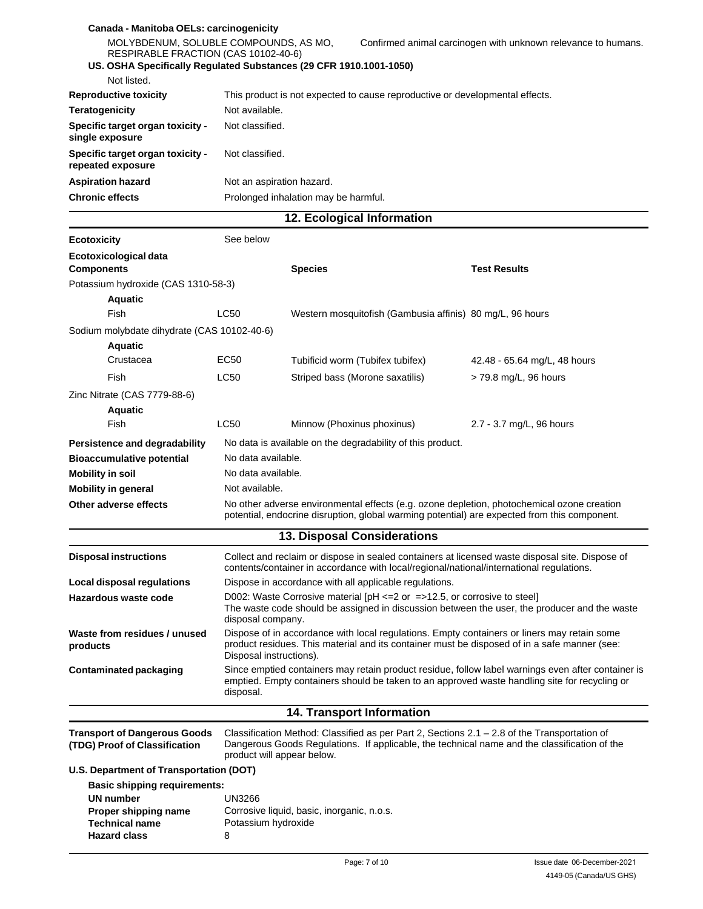| Canada - Manitoba OELs: carcinogenicity<br>MOLYBDENUM, SOLUBLE COMPOUNDS, AS MO,<br>RESPIRABLE FRACTION (CAS 10102-40-6) |                                                                                                                                                                                                                        |                                                                                                                                                                                                | Confirmed animal carcinogen with unknown relevance to humans.                                      |
|--------------------------------------------------------------------------------------------------------------------------|------------------------------------------------------------------------------------------------------------------------------------------------------------------------------------------------------------------------|------------------------------------------------------------------------------------------------------------------------------------------------------------------------------------------------|----------------------------------------------------------------------------------------------------|
|                                                                                                                          |                                                                                                                                                                                                                        | US. OSHA Specifically Regulated Substances (29 CFR 1910.1001-1050)                                                                                                                             |                                                                                                    |
| Not listed.                                                                                                              |                                                                                                                                                                                                                        |                                                                                                                                                                                                |                                                                                                    |
| <b>Reproductive toxicity</b>                                                                                             | Not available.                                                                                                                                                                                                         | This product is not expected to cause reproductive or developmental effects.                                                                                                                   |                                                                                                    |
| <b>Teratogenicity</b>                                                                                                    |                                                                                                                                                                                                                        |                                                                                                                                                                                                |                                                                                                    |
| Specific target organ toxicity -<br>single exposure                                                                      | Not classified.                                                                                                                                                                                                        |                                                                                                                                                                                                |                                                                                                    |
| Specific target organ toxicity -<br>repeated exposure                                                                    | Not classified.                                                                                                                                                                                                        |                                                                                                                                                                                                |                                                                                                    |
| <b>Aspiration hazard</b>                                                                                                 | Not an aspiration hazard.                                                                                                                                                                                              |                                                                                                                                                                                                |                                                                                                    |
| <b>Chronic effects</b>                                                                                                   |                                                                                                                                                                                                                        | Prolonged inhalation may be harmful.                                                                                                                                                           |                                                                                                    |
|                                                                                                                          |                                                                                                                                                                                                                        | 12. Ecological Information                                                                                                                                                                     |                                                                                                    |
| <b>Ecotoxicity</b>                                                                                                       | See below                                                                                                                                                                                                              |                                                                                                                                                                                                |                                                                                                    |
| Ecotoxicological data<br><b>Components</b>                                                                               |                                                                                                                                                                                                                        | <b>Species</b>                                                                                                                                                                                 | <b>Test Results</b>                                                                                |
| Potassium hydroxide (CAS 1310-58-3)                                                                                      |                                                                                                                                                                                                                        |                                                                                                                                                                                                |                                                                                                    |
| <b>Aquatic</b>                                                                                                           |                                                                                                                                                                                                                        |                                                                                                                                                                                                |                                                                                                    |
| Fish                                                                                                                     | <b>LC50</b>                                                                                                                                                                                                            | Western mosquitofish (Gambusia affinis) 80 mg/L, 96 hours                                                                                                                                      |                                                                                                    |
| Sodium molybdate dihydrate (CAS 10102-40-6)                                                                              |                                                                                                                                                                                                                        |                                                                                                                                                                                                |                                                                                                    |
| <b>Aquatic</b>                                                                                                           |                                                                                                                                                                                                                        |                                                                                                                                                                                                |                                                                                                    |
| Crustacea                                                                                                                | EC50                                                                                                                                                                                                                   | Tubificid worm (Tubifex tubifex)                                                                                                                                                               | 42.48 - 65.64 mg/L, 48 hours                                                                       |
| Fish                                                                                                                     | <b>LC50</b>                                                                                                                                                                                                            | Striped bass (Morone saxatilis)                                                                                                                                                                | > 79.8 mg/L, 96 hours                                                                              |
| Zinc Nitrate (CAS 7779-88-6)                                                                                             |                                                                                                                                                                                                                        |                                                                                                                                                                                                |                                                                                                    |
| <b>Aquatic</b>                                                                                                           |                                                                                                                                                                                                                        |                                                                                                                                                                                                |                                                                                                    |
| Fish                                                                                                                     | LC50                                                                                                                                                                                                                   | Minnow (Phoxinus phoxinus)                                                                                                                                                                     | 2.7 - 3.7 mg/L, 96 hours                                                                           |
| Persistence and degradability                                                                                            |                                                                                                                                                                                                                        | No data is available on the degradability of this product.                                                                                                                                     |                                                                                                    |
| <b>Bioaccumulative potential</b>                                                                                         | No data available.                                                                                                                                                                                                     |                                                                                                                                                                                                |                                                                                                    |
| <b>Mobility in soil</b>                                                                                                  |                                                                                                                                                                                                                        | No data available.                                                                                                                                                                             |                                                                                                    |
| <b>Mobility in general</b>                                                                                               | Not available.                                                                                                                                                                                                         |                                                                                                                                                                                                |                                                                                                    |
| Other adverse effects                                                                                                    |                                                                                                                                                                                                                        | No other adverse environmental effects (e.g. ozone depletion, photochemical ozone creation                                                                                                     |                                                                                                    |
|                                                                                                                          |                                                                                                                                                                                                                        | potential, endocrine disruption, global warming potential) are expected from this component.                                                                                                   |                                                                                                    |
|                                                                                                                          |                                                                                                                                                                                                                        | <b>13. Disposal Considerations</b>                                                                                                                                                             |                                                                                                    |
| <b>Disposal instructions</b>                                                                                             |                                                                                                                                                                                                                        | Collect and reclaim or dispose in sealed containers at licensed waste disposal site. Dispose of<br>contents/container in accordance with local/regional/national/international regulations.    |                                                                                                    |
| Local disposal regulations                                                                                               |                                                                                                                                                                                                                        | Dispose in accordance with all applicable regulations.                                                                                                                                         |                                                                                                    |
| Hazardous waste code                                                                                                     | D002: Waste Corrosive material [pH $\leq$ 2 or $\leq$ >12.5, or corrosive to steel]<br>The waste code should be assigned in discussion between the user, the producer and the waste<br>disposal company.               |                                                                                                                                                                                                |                                                                                                    |
| Waste from residues / unused<br>products                                                                                 | Dispose of in accordance with local regulations. Empty containers or liners may retain some<br>product residues. This material and its container must be disposed of in a safe manner (see:<br>Disposal instructions). |                                                                                                                                                                                                |                                                                                                    |
| <b>Contaminated packaging</b>                                                                                            | disposal.                                                                                                                                                                                                              | emptied. Empty containers should be taken to an approved waste handling site for recycling or                                                                                                  | Since emptied containers may retain product residue, follow label warnings even after container is |
|                                                                                                                          |                                                                                                                                                                                                                        | 14. Transport Information                                                                                                                                                                      |                                                                                                    |
| <b>Transport of Dangerous Goods</b><br>(TDG) Proof of Classification                                                     | product will appear below.                                                                                                                                                                                             | Classification Method: Classified as per Part 2, Sections $2.1 - 2.8$ of the Transportation of<br>Dangerous Goods Regulations. If applicable, the technical name and the classification of the |                                                                                                    |
| U.S. Department of Transportation (DOT)                                                                                  |                                                                                                                                                                                                                        |                                                                                                                                                                                                |                                                                                                    |
| <b>Basic shipping requirements:</b>                                                                                      |                                                                                                                                                                                                                        |                                                                                                                                                                                                |                                                                                                    |
| UN number                                                                                                                | UN3266                                                                                                                                                                                                                 |                                                                                                                                                                                                |                                                                                                    |
| Proper shipping name                                                                                                     |                                                                                                                                                                                                                        | Corrosive liquid, basic, inorganic, n.o.s.                                                                                                                                                     |                                                                                                    |
| Technical name                                                                                                           | Potassium hydroxide                                                                                                                                                                                                    |                                                                                                                                                                                                |                                                                                                    |
| <b>Hazard class</b>                                                                                                      | 8                                                                                                                                                                                                                      |                                                                                                                                                                                                |                                                                                                    |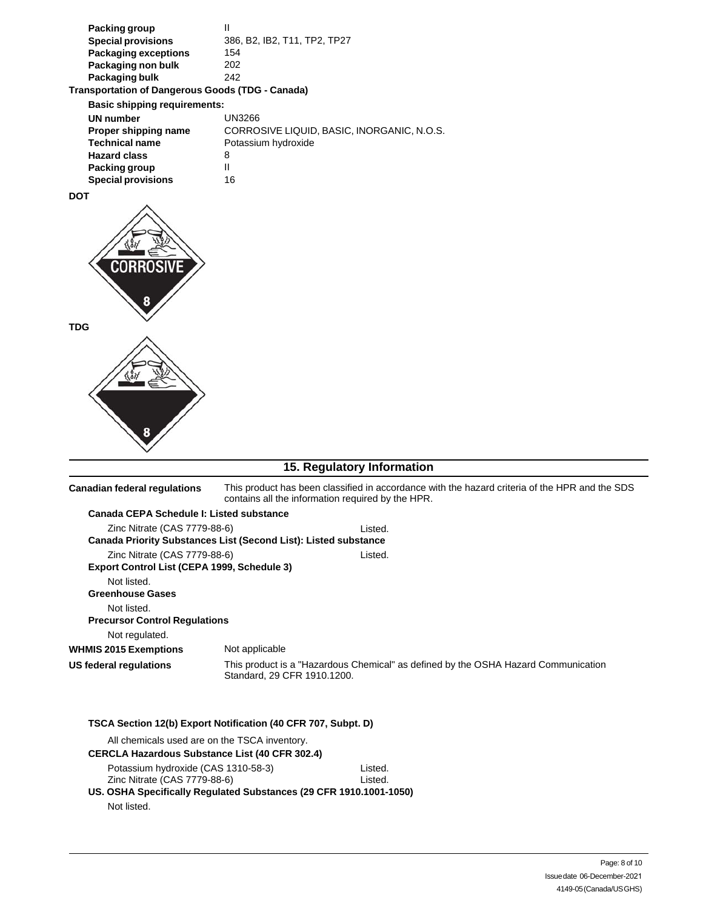| Packing group             |                              |
|---------------------------|------------------------------|
| <b>Special provisions</b> | 386, B2, IB2, T11, TP2, TP27 |
| Packaging exceptions      | 154                          |
| Packaging non bulk        | 202                          |
| Packaging bulk            | 242                          |
|                           |                              |

#### **Transportation of Dangerous Goods (TDG - Canada)**

| <b>Basic shipping requirements:</b> |                                            |  |
|-------------------------------------|--------------------------------------------|--|
| UN number                           | UN3266                                     |  |
| Proper shipping name                | CORROSIVE LIQUID, BASIC, INORGANIC, N.O.S. |  |
| <b>Technical name</b>               | Potassium hydroxide                        |  |
| <b>Hazard class</b>                 | 8                                          |  |
| Packing group                       |                                            |  |
| <b>Special provisions</b>           | 16                                         |  |

#### **DOT**



### **15. Regulatory Information**

| <b>Canadian federal regulations</b>                                                                             | This product has been classified in accordance with the hazard criteria of the HPR and the SDS<br>contains all the information required by the HPR. |
|-----------------------------------------------------------------------------------------------------------------|-----------------------------------------------------------------------------------------------------------------------------------------------------|
| Canada CEPA Schedule I: Listed substance                                                                        |                                                                                                                                                     |
| Zinc Nitrate (CAS 7779-88-6)                                                                                    | Listed.<br>Canada Priority Substances List (Second List): Listed substance                                                                          |
| Zinc Nitrate (CAS 7779-88-6)<br>Export Control List (CEPA 1999, Schedule 3)                                     | Listed.                                                                                                                                             |
| Not listed.<br><b>Greenhouse Gases</b><br>Not listed.<br><b>Precursor Control Regulations</b><br>Not regulated. |                                                                                                                                                     |
| <b>WHMIS 2015 Exemptions</b>                                                                                    | Not applicable                                                                                                                                      |
| US federal regulations                                                                                          | This product is a "Hazardous Chemical" as defined by the OSHA Hazard Communication<br>Standard, 29 CFR 1910.1200.                                   |
|                                                                                                                 | TSCA Section 12(b) Export Notification (40 CFR 707, Subpt. D)                                                                                       |

| All chemicals used are on the TSCA inventory.                      |         |
|--------------------------------------------------------------------|---------|
| <b>CERCLA Hazardous Substance List (40 CFR 302.4)</b>              |         |
| Potassium hydroxide (CAS 1310-58-3)                                | Listed. |
| Zinc Nitrate (CAS 7779-88-6)                                       | Listed. |
| US. OSHA Specifically Regulated Substances (29 CFR 1910.1001-1050) |         |
| Not listed.                                                        |         |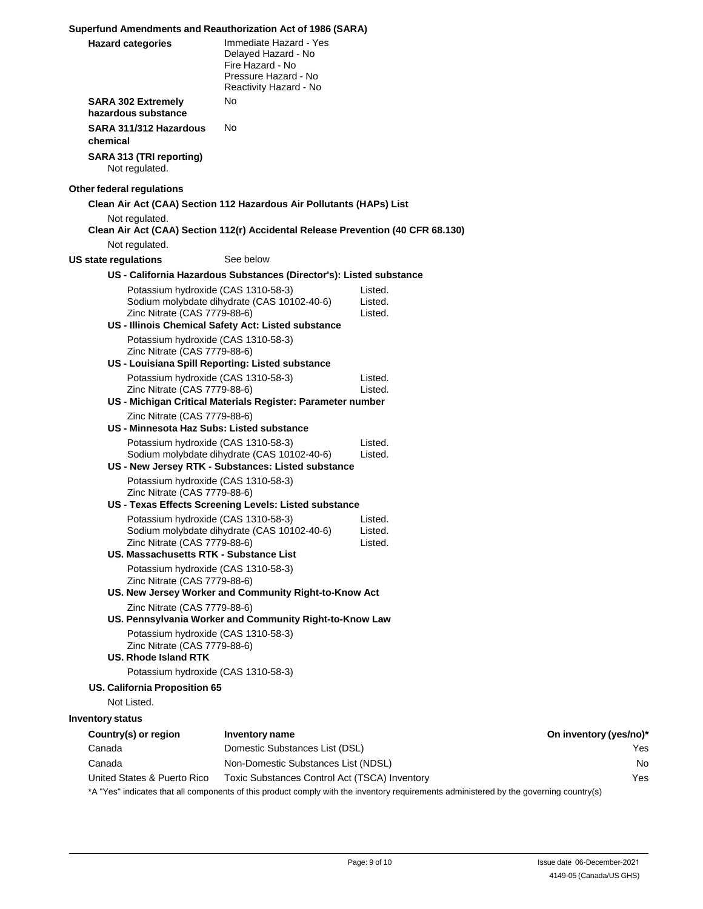#### **Superfund Amendments and Reauthorization Act of 1986 (SARA)**

| <b>Hazard categories</b>                                                                           | Immediate Hazard - Yes<br>Delaved Hazard - No<br>Fire Hazard - No<br>Pressure Hazard - No<br>Reactivity Hazard - No |                                                                                                                                        |                        |
|----------------------------------------------------------------------------------------------------|---------------------------------------------------------------------------------------------------------------------|----------------------------------------------------------------------------------------------------------------------------------------|------------------------|
| <b>SARA 302 Extremely</b><br>hazardous substance                                                   | No                                                                                                                  |                                                                                                                                        |                        |
| SARA 311/312 Hazardous<br>chemical                                                                 | No                                                                                                                  |                                                                                                                                        |                        |
| SARA 313 (TRI reporting)<br>Not regulated.                                                         |                                                                                                                     |                                                                                                                                        |                        |
| Other federal regulations                                                                          |                                                                                                                     |                                                                                                                                        |                        |
|                                                                                                    | Clean Air Act (CAA) Section 112 Hazardous Air Pollutants (HAPs) List                                                |                                                                                                                                        |                        |
| Not regulated.                                                                                     | Clean Air Act (CAA) Section 112(r) Accidental Release Prevention (40 CFR 68.130)                                    |                                                                                                                                        |                        |
| Not regulated.                                                                                     | See below                                                                                                           |                                                                                                                                        |                        |
| US state regulations                                                                               |                                                                                                                     |                                                                                                                                        |                        |
|                                                                                                    | US - California Hazardous Substances (Director's): Listed substance                                                 |                                                                                                                                        |                        |
| Zinc Nitrate (CAS 7779-88-6)                                                                       | Potassium hydroxide (CAS 1310-58-3)<br>Sodium molybdate dihydrate (CAS 10102-40-6)                                  | Listed.<br>Listed.<br>Listed.                                                                                                          |                        |
|                                                                                                    | US - Illinois Chemical Safety Act: Listed substance                                                                 |                                                                                                                                        |                        |
| Potassium hydroxide (CAS 1310-58-3)<br>Zinc Nitrate (CAS 7779-88-6)                                |                                                                                                                     |                                                                                                                                        |                        |
|                                                                                                    | US - Louisiana Spill Reporting: Listed substance                                                                    |                                                                                                                                        |                        |
| Potassium hydroxide (CAS 1310-58-3)                                                                |                                                                                                                     | Listed.                                                                                                                                |                        |
| Zinc Nitrate (CAS 7779-88-6)                                                                       |                                                                                                                     | Listed.                                                                                                                                |                        |
|                                                                                                    | US - Michigan Critical Materials Register: Parameter number                                                         |                                                                                                                                        |                        |
| Zinc Nitrate (CAS 7779-88-6)                                                                       |                                                                                                                     |                                                                                                                                        |                        |
| US - Minnesota Haz Subs: Listed substance                                                          |                                                                                                                     |                                                                                                                                        |                        |
| Potassium hydroxide (CAS 1310-58-3)                                                                | Sodium molybdate dihydrate (CAS 10102-40-6)<br>US - New Jersey RTK - Substances: Listed substance                   | Listed.<br>Listed.                                                                                                                     |                        |
| Potassium hydroxide (CAS 1310-58-3)                                                                |                                                                                                                     |                                                                                                                                        |                        |
| Zinc Nitrate (CAS 7779-88-6)                                                                       |                                                                                                                     |                                                                                                                                        |                        |
|                                                                                                    | US - Texas Effects Screening Levels: Listed substance                                                               |                                                                                                                                        |                        |
| Potassium hydroxide (CAS 1310-58-3)                                                                |                                                                                                                     | Listed.                                                                                                                                |                        |
|                                                                                                    | Sodium molybdate dihydrate (CAS 10102-40-6)                                                                         | Listed.                                                                                                                                |                        |
| Zinc Nitrate (CAS 7779-88-6)<br>US. Massachusetts RTK - Substance List                             |                                                                                                                     | Listed.                                                                                                                                |                        |
|                                                                                                    |                                                                                                                     |                                                                                                                                        |                        |
| Potassium hydroxide (CAS 1310-58-3)<br>Zinc Nitrate (CAS 7779-88-6)                                |                                                                                                                     |                                                                                                                                        |                        |
|                                                                                                    | US. New Jersey Worker and Community Right-to-Know Act                                                               |                                                                                                                                        |                        |
| Zinc Nitrate (CAS 7779-88-6)                                                                       | US. Pennsylvania Worker and Community Right-to-Know Law                                                             |                                                                                                                                        |                        |
| Potassium hydroxide (CAS 1310-58-3)<br>Zinc Nitrate (CAS 7779-88-6)<br><b>US. Rhode Island RTK</b> |                                                                                                                     |                                                                                                                                        |                        |
| Potassium hydroxide (CAS 1310-58-3)                                                                |                                                                                                                     |                                                                                                                                        |                        |
| US. California Proposition 65                                                                      |                                                                                                                     |                                                                                                                                        |                        |
| Not Listed.                                                                                        |                                                                                                                     |                                                                                                                                        |                        |
| <b>Inventory status</b>                                                                            |                                                                                                                     |                                                                                                                                        |                        |
| Country(s) or region                                                                               | Inventory name                                                                                                      |                                                                                                                                        | On inventory (yes/no)* |
| Canada                                                                                             | Domestic Substances List (DSL)                                                                                      |                                                                                                                                        | Yes                    |
| Canada                                                                                             | Non-Domestic Substances List (NDSL)                                                                                 |                                                                                                                                        | No                     |
| United States & Puerto Rico                                                                        | Toxic Substances Control Act (TSCA) Inventory                                                                       |                                                                                                                                        | Yes                    |
|                                                                                                    |                                                                                                                     | *A "Yes" indicates that all components of this product comply with the inventory requirements administered by the governing country(s) |                        |